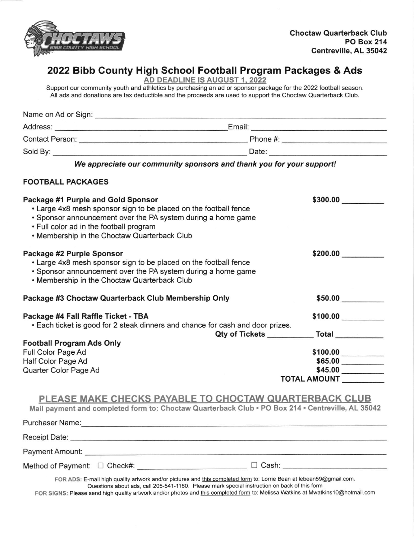

# 2022 Bibb County High School Football Program Packages & Ads

AD DEADLINE IS AUGUST 1. 2022

Support our community youth and athletics by purchasing an ad or sponsor package for the 2022 football season. All ads and donations are tax deductible and the proceeds are used to support the Choctaw Ouarlerback Club.

| Name on Ad or Sign:    |          |  |
|------------------------|----------|--|
| Address:               | Email:   |  |
| <b>Contact Person:</b> | Phone #: |  |
| Sold By:               | Date:    |  |

We appreciate our community sponsors and thank you for your support!

#### FOOTBALL PACKAGES

| Package #1 Purple and Gold Sponsor                                             | \$300.00            |
|--------------------------------------------------------------------------------|---------------------|
| • Large 4x8 mesh sponsor sign to be placed on the football fence               |                     |
| • Sponsor announcement over the PA system during a home game                   |                     |
| . Full color ad in the football program                                        |                     |
| . Membership in the Choctaw Quarterback Club                                   |                     |
| Package #2 Purple Sponsor                                                      | \$200.00            |
| • Large 4x8 mesh sponsor sign to be placed on the football fence               |                     |
| • Sponsor announcement over the PA system during a home game                   |                     |
| • Membership in the Choctaw Quarterback Club                                   |                     |
|                                                                                |                     |
| Package #3 Choctaw Quarterback Club Membership Only                            | \$50.00             |
| Package #4 Fall Raffle Ticket - TBA                                            | \$100.00            |
| • Each ticket is good for 2 steak dinners and chance for cash and door prizes. |                     |
|                                                                                | Total               |
| <b>Football Program Ads Only</b>                                               |                     |
| Full Color Page Ad                                                             | \$100.00            |
| Half Color Page Ad                                                             | \$65.00             |
| Quarter Color Page Ad                                                          | \$45.00             |
|                                                                                | <b>TOTAL AMOUNT</b> |
|                                                                                |                     |
|                                                                                |                     |

### PLEASE MAKE CHECKS PAYABLE TO CHOCTAW QUARTERBACK CLUB

Mail payment and completed form to: Choctaw Quarterback Club . PO Box 214 . Centreville, AL 35042

| <b>Purchaser Name:</b>                                                                                                                                                                                                         |                                                                                                                                                                                                                     |
|--------------------------------------------------------------------------------------------------------------------------------------------------------------------------------------------------------------------------------|---------------------------------------------------------------------------------------------------------------------------------------------------------------------------------------------------------------------|
| Receipt Date: National Property of Property and Property and Property and Property and Property and Property and Property and Property and Property and Property and Property and Property and Property and Property and Prope |                                                                                                                                                                                                                     |
| Payment Amount: National Amount:                                                                                                                                                                                               |                                                                                                                                                                                                                     |
| Method of Payment: □ Check#:                                                                                                                                                                                                   | $\Box$ Cash:                                                                                                                                                                                                        |
|                                                                                                                                                                                                                                | FOR ADS: E-mail high quality artwork and/or pictures and this completed form to: Lorrie Bean at lebean59@gmail.com.<br>Questions about ads, call 205-541-1160. Please mark special instruction on back of this form |

FOR SIGNS: Please send high quality artwork and/or photos and this completed form to: Melissa Watkins at Mwatkins10@hotmail.com